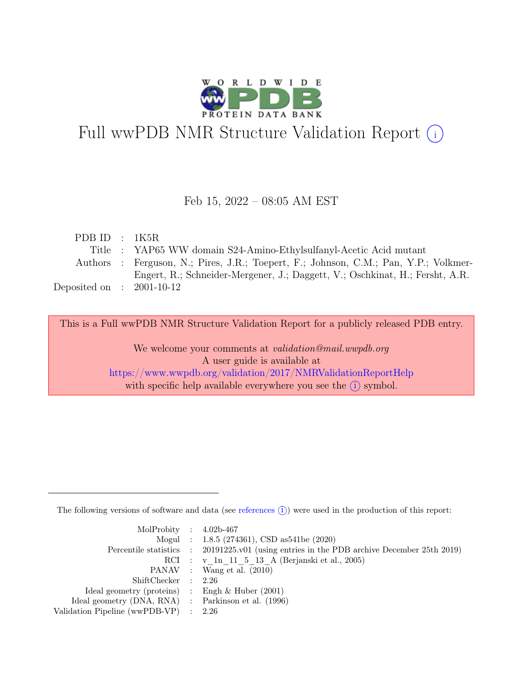

# Full wwPDB NMR Structure Validation Report (i)

### Feb 15, 2022 – 08:05 AM EST

| PDBID : 1K5R                |                                                                                      |
|-----------------------------|--------------------------------------------------------------------------------------|
|                             | Title : YAP65 WW domain S24-Amino-Ethylsulfanyl-Acetic Acid mutant                   |
|                             | Authors : Ferguson, N.; Pires, J.R.; Toepert, F.; Johnson, C.M.; Pan, Y.P.; Volkmer- |
|                             | Engert, R.; Schneider-Mergener, J.; Daggett, V.; Oschkinat, H.; Fersht, A.R.         |
| Deposited on : $2001-10-12$ |                                                                                      |

This is a Full wwPDB NMR Structure Validation Report for a publicly released PDB entry.

We welcome your comments at *validation@mail.wwpdb.org* A user guide is available at <https://www.wwpdb.org/validation/2017/NMRValidationReportHelp> with specific help available everywhere you see the  $(i)$  symbol.

The following versions of software and data (see [references](https://www.wwpdb.org/validation/2017/NMRValidationReportHelp#references)  $(i)$ ) were used in the production of this report:

| MolProbity : $4.02b-467$                            |                                                                                            |
|-----------------------------------------------------|--------------------------------------------------------------------------------------------|
|                                                     | Mogul : $1.8.5$ (274361), CSD as 541be (2020)                                              |
|                                                     | Percentile statistics : 20191225.v01 (using entries in the PDB archive December 25th 2019) |
|                                                     | RCI : v 1n 11 5 13 A (Berjanski et al., 2005)                                              |
|                                                     | PANAV : Wang et al. (2010)                                                                 |
| ShiftChecker : 2.26                                 |                                                                                            |
| Ideal geometry (proteins) : Engh $\&$ Huber (2001)  |                                                                                            |
| Ideal geometry (DNA, RNA) : Parkinson et al. (1996) |                                                                                            |
| Validation Pipeline (wwPDB-VP) $\therefore$ 2.26    |                                                                                            |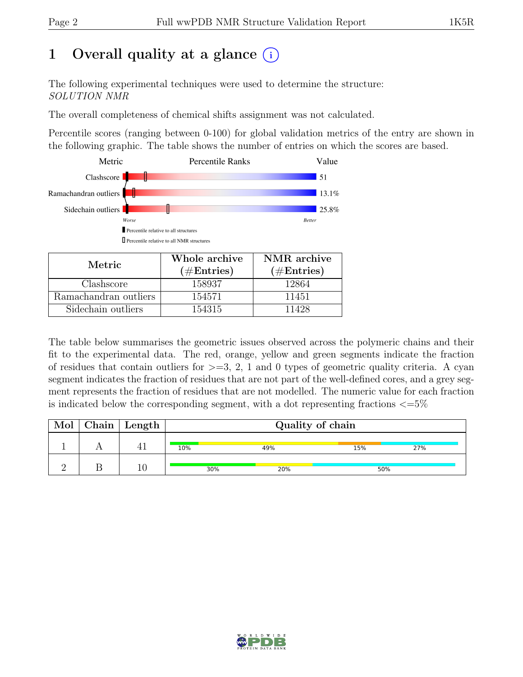# 1 Overall quality at a glance  $(i)$

The following experimental techniques were used to determine the structure: SOLUTION NMR

The overall completeness of chemical shifts assignment was not calculated.

Percentile scores (ranging between 0-100) for global validation metrics of the entry are shown in the following graphic. The table shows the number of entries on which the scores are based.



| Metric.               | Whole archive<br>$(\#Entries)$ | NMR archive<br>$(\#Entries)$ |
|-----------------------|--------------------------------|------------------------------|
| Clashscore            | 158937                         | 12864                        |
| Ramachandran outliers | 154571                         | 11451                        |
| Sidechain outliers    | 154315                         | 11428                        |

The table below summarises the geometric issues observed across the polymeric chains and their fit to the experimental data. The red, orange, yellow and green segments indicate the fraction of residues that contain outliers for  $>=$  3, 2, 1 and 0 types of geometric quality criteria. A cyan segment indicates the fraction of residues that are not part of the well-defined cores, and a grey segment represents the fraction of residues that are not modelled. The numeric value for each fraction is indicated below the corresponding segment, with a dot representing fractions  $\langle=5\%$ 

| Mol | $\vert$ Chain $\vert$ Length $\vert$ | Quality of chain |     |     |     |  |
|-----|--------------------------------------|------------------|-----|-----|-----|--|
|     |                                      | 10%              | 49% | 15% | 27% |  |
|     |                                      | 30%              | 20% | 50% |     |  |

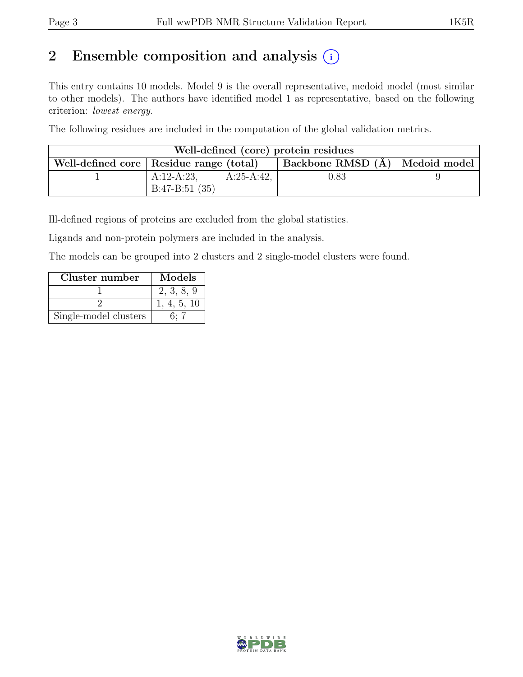# 2 Ensemble composition and analysis  $(i)$

This entry contains 10 models. Model 9 is the overall representative, medoid model (most similar to other models). The authors have identified model 1 as representative, based on the following criterion: lowest energy.

The following residues are included in the computation of the global validation metrics.

| Well-defined (core) protein residues      |                 |             |                                    |  |  |  |  |
|-------------------------------------------|-----------------|-------------|------------------------------------|--|--|--|--|
| Well-defined core   Residue range (total) |                 |             | Backbone RMSD $(A)$   Medoid model |  |  |  |  |
|                                           | $A:12-A:23$ ,   | $A:25-A:42$ | 0.83                               |  |  |  |  |
|                                           | $B:47-B:51(35)$ |             |                                    |  |  |  |  |

Ill-defined regions of proteins are excluded from the global statistics.

Ligands and non-protein polymers are included in the analysis.

The models can be grouped into 2 clusters and 2 single-model clusters were found.

| Cluster number        | Models      |
|-----------------------|-------------|
|                       | 2, 3, 8, 9  |
|                       | 1, 4, 5, 10 |
| Single-model clusters | 6. 7        |

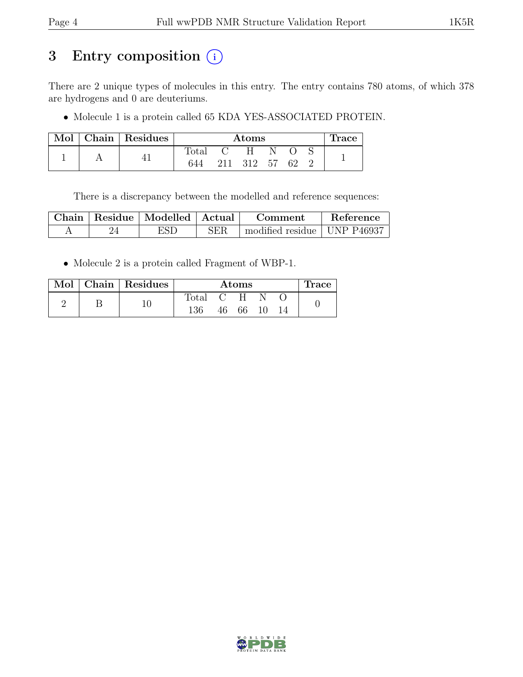# 3 Entry composition (i)

There are 2 unique types of molecules in this entry. The entry contains 780 atoms, of which 378 are hydrogens and 0 are deuteriums.

• Molecule 1 is a protein called 65 KDA YES-ASSOCIATED PROTEIN.

|  | Mol   Chain   Residues | Atoms          |     |      |    | Trace |  |  |
|--|------------------------|----------------|-----|------|----|-------|--|--|
|  |                        | $\text{Total}$ |     | H    |    |       |  |  |
|  |                        | 644            | 211 | -312 | 57 | 62    |  |  |

There is a discrepancy between the modelled and reference sequences:

|  | Chain   Residue   Modelled   Actual |            | Comment                       | Reference |
|--|-------------------------------------|------------|-------------------------------|-----------|
|  | ESD                                 | <b>SER</b> | modified residue   UNP P46937 |           |

• Molecule 2 is a protein called Fragment of WBP-1.

|  |  | Mol   Chain   Residues | Atoms   |  |       |  | Irace |  |
|--|--|------------------------|---------|--|-------|--|-------|--|
|  |  |                        | Total · |  | $C-H$ |  |       |  |
|  |  | 136                    | 46 —    |  |       |  |       |  |

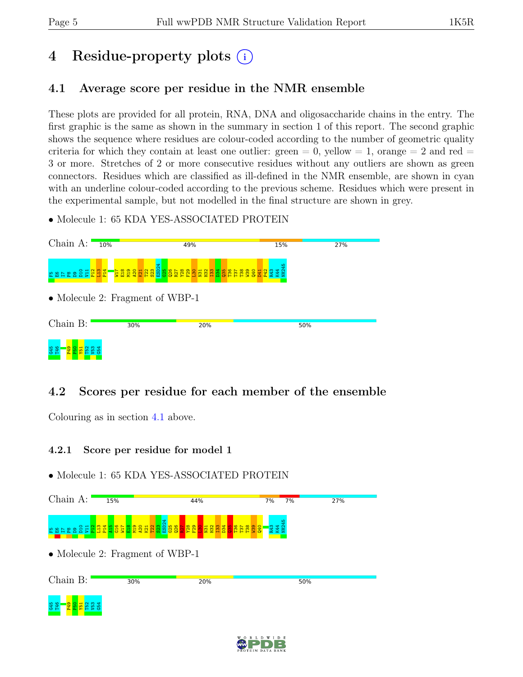# 4 Residue-property plots (i)

## <span id="page-4-0"></span>4.1 Average score per residue in the NMR ensemble

These plots are provided for all protein, RNA, DNA and oligosaccharide chains in the entry. The first graphic is the same as shown in the summary in section 1 of this report. The second graphic shows the sequence where residues are colour-coded according to the number of geometric quality criteria for which they contain at least one outlier:  $green = 0$ ,  $yellow = 1$ ,  $orange = 2$  and  $red =$ 3 or more. Stretches of 2 or more consecutive residues without any outliers are shown as green connectors. Residues which are classified as ill-defined in the NMR ensemble, are shown in cyan with an underline colour-coded according to the previous scheme. Residues which were present in the experimental sample, but not modelled in the final structure are shown in grey.

• Molecule 1: 65 KDA YES-ASSOCIATED PROTEIN



## 4.2 Scores per residue for each member of the ensemble

Colouring as in section [4.1](#page-4-0) above.

### 4.2.1 Score per residue for model 1



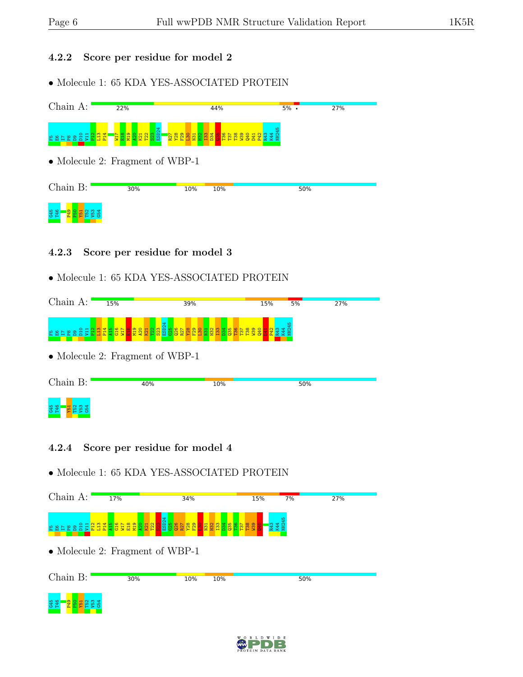### 4.2.2 Score per residue for model 2

• Molecule 1: 65 KDA YES-ASSOCIATED PROTEIN



### 4.2.3 Score per residue for model 3

## • Molecule 1: 65 KDA YES-ASSOCIATED PROTEIN

| Choin<br>$\Delta$ . | 15%    | 39% | 5%<br>15% | 27% |
|---------------------|--------|-----|-----------|-----|
| $O$ $H$             | $\sim$ |     | ÷<br>Ġ    |     |

• Molecule 2: Fragment of WBP-1

| Chain B:                               | 40% | 10% | 50% |
|----------------------------------------|-----|-----|-----|
| <b>Contract Contract</b><br>G45<br>T46 |     |     |     |

### 4.2.4 Score per residue for model 4



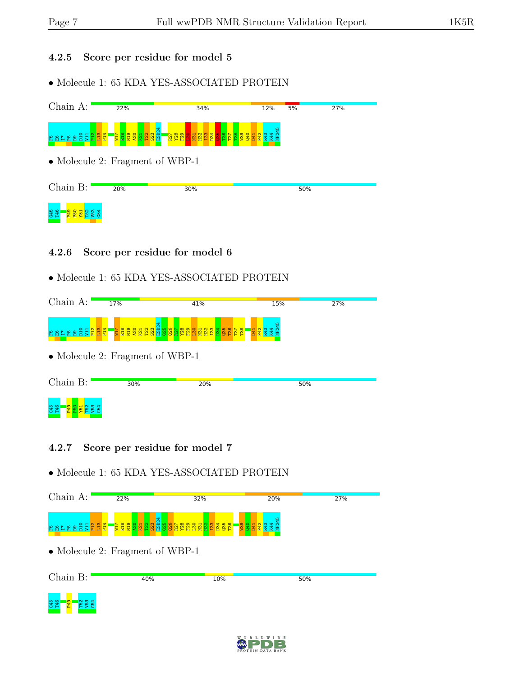### 4.2.5 Score per residue for model 5

• Molecule 1: 65 KDA YES-ASSOCIATED PROTEIN



### 4.2.6 Score per residue for model 6

## • Molecule 1: 65 KDA YES-ASSOCIATED PROTEIN

|                          | 17%                                         | 41%                                                     | 15%          | 27% |
|--------------------------|---------------------------------------------|---------------------------------------------------------|--------------|-----|
| $O$ $H$ $N$ $M$ $H$<br>문 | ထ.<br>. .<br>현<br>п<br>Σ<br><b>COL</b><br>н | $\sim$<br>$\mathbf{u}$<br>g<br>×<br>н<br><b>FR</b><br>⊷ | $\mathbf{H}$ |     |

• Molecule 2: Fragment of WBP-1

| Chain B:          | 30% | 20% | 50% |  |
|-------------------|-----|-----|-----|--|
| <b>G45</b><br>T46 |     |     |     |  |

### 4.2.7 Score per residue for model 7



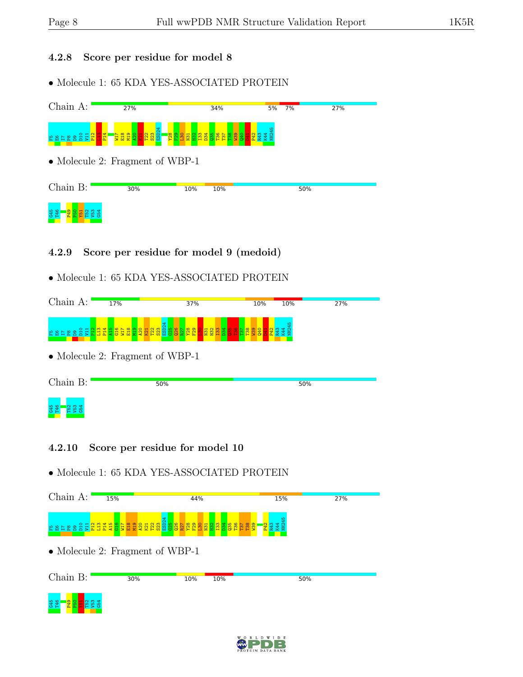### 4.2.8 Score per residue for model 8

• Molecule 1: 65 KDA YES-ASSOCIATED PROTEIN



## 4.2.9 Score per residue for model 9 (medoid)

## • Molecule 1: 65 KDA YES-ASSOCIATED PROTEIN

| Chain<br>A٠ | 17%                                                                                                        | 37%                                                                 | 10%              | 10% | 27% |
|-------------|------------------------------------------------------------------------------------------------------------|---------------------------------------------------------------------|------------------|-----|-----|
| 医菌          | OHNM400L0<br>$\blacksquare$<br>Ē<br>$\mathbf -$<br>$\mathbf{H}$<br>$\mathbf{H}$<br>$\mathbf -$<br><b>P</b> | <mark>នួន ដូន ន</mark> ួន<br><b>PR</b><br>-<br>CV.<br>$\sim$ $\sim$ | ø<br>−<br>з<br>⊢ |     |     |

• Molecule 2: Fragment of WBP-1

| Chain B:   | 50% | 50% |
|------------|-----|-----|
| G45<br>T46 |     |     |

### 4.2.10 Score per residue for model 10



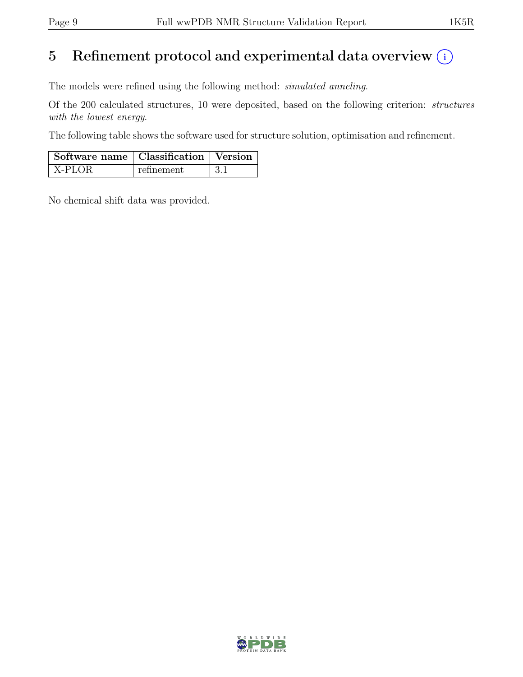# 5 Refinement protocol and experimental data overview  $(i)$

The models were refined using the following method: simulated anneling.

Of the 200 calculated structures, 10 were deposited, based on the following criterion: structures with the lowest energy.

The following table shows the software used for structure solution, optimisation and refinement.

| $\vert$ Software name $\vert$ Classification $\vert$ Version |            |  |
|--------------------------------------------------------------|------------|--|
| X-PLOR                                                       | refinement |  |

No chemical shift data was provided.

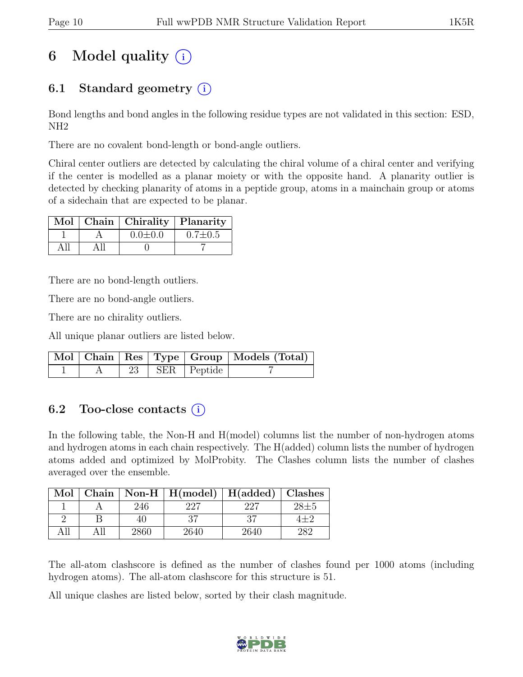# 6 Model quality  $(i)$

# 6.1 Standard geometry (i)

Bond lengths and bond angles in the following residue types are not validated in this section: ESD, NH2

There are no covalent bond-length or bond-angle outliers.

Chiral center outliers are detected by calculating the chiral volume of a chiral center and verifying if the center is modelled as a planar moiety or with the opposite hand. A planarity outlier is detected by checking planarity of atoms in a peptide group, atoms in a mainchain group or atoms of a sidechain that are expected to be planar.

|  | Mol   Chain   Chirality   Planarity |               |
|--|-------------------------------------|---------------|
|  | $0.0 \pm 0.0$                       | $0.7 \pm 0.5$ |
|  |                                     |               |

There are no bond-length outliers.

There are no bond-angle outliers.

There are no chirality outliers.

All unique planar outliers are listed below.

|  |  |                             | Mol   Chain   Res   Type   Group   Models (Total) |
|--|--|-----------------------------|---------------------------------------------------|
|  |  | $\sqrt{23}$   SER   Peptide |                                                   |

# 6.2 Too-close contacts  $(i)$

In the following table, the Non-H and H(model) columns list the number of non-hydrogen atoms and hydrogen atoms in each chain respectively. The H(added) column lists the number of hydrogen atoms added and optimized by MolProbity. The Clashes column lists the number of clashes averaged over the ensemble.

| Mol |      | Chain   Non-H   $H(model)$   $H(added)$ |      | Clashes  |
|-----|------|-----------------------------------------|------|----------|
|     | 246  |                                         | 227  | $28 + 5$ |
|     | 40   | 27                                      | 27   | $1 + 2$  |
|     | 2860 | 2640                                    | 2640 | 282      |

The all-atom clashscore is defined as the number of clashes found per 1000 atoms (including hydrogen atoms). The all-atom clashscore for this structure is 51.

All unique clashes are listed below, sorted by their clash magnitude.

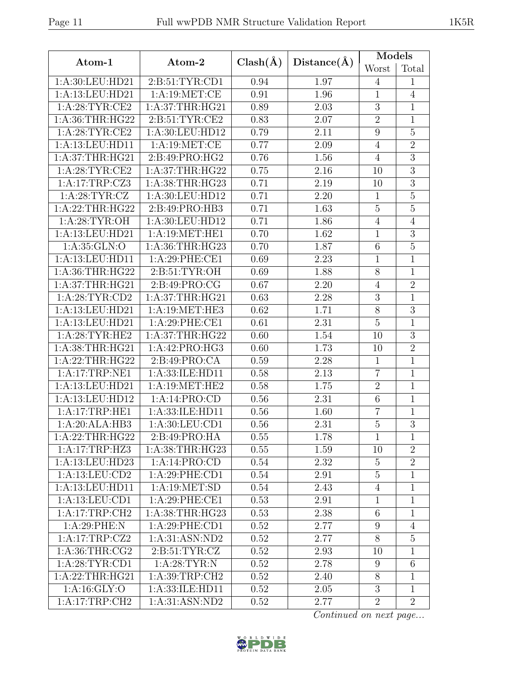| I<br>× |
|--------|
|--------|

|                                            |                   |              |             | Models          |                |  |
|--------------------------------------------|-------------------|--------------|-------------|-----------------|----------------|--|
| Atom-1                                     | Atom-2            | $Clash(\AA)$ | Distance(A) | Worst           | Total          |  |
| 1:A:30:LEU:HD21                            | 2:B:51:TYR:CD1    | 0.94         | 1.97        | $\overline{4}$  | 1              |  |
| 1:A:13:LEU:HD21                            | 1: A: 19: MET:CE  | 0.91         | 1.96        | $\mathbf{1}$    | $\overline{4}$ |  |
| 1: A:28:TYR:CE2                            | 1: A:37:THR:HG21  | 0.89         | 2.03        | $\overline{3}$  | $\mathbf{1}$   |  |
| 1:A:36:THR:HG22                            | 2: B:51: TYR: CE2 | 0.83         | 2.07        | $\sqrt{2}$      | $\mathbf{1}$   |  |
| 1: A:28:TYR:CE2                            | 1:A:30:LEU:HD12   | 0.79         | 2.11        | $\overline{9}$  | $\overline{5}$ |  |
| 1:A:13:LEU:HD11                            | 1:A:19:MET:CE     | 0.77         | 2.09        | $\overline{4}$  | $\overline{2}$ |  |
| 1:A:37:THR:HG21                            | 2:B:49:PRO:HG2    | 0.76         | 1.56        | $\overline{4}$  | $\overline{3}$ |  |
| 1: A:28:TYR:CE2                            | 1:A:37:THR:HG22   | 0.75         | 2.16        | 10              | $\overline{3}$ |  |
| 1:A:17:TRP:CZ3                             | 1: A:38:THR:HG23  | 0.71         | 2.19        | 10              | $\overline{3}$ |  |
| 1: A:28:TYR:CZ                             | 1:A:30:LEU:HD12   | 0.71         | 2.20        | $\overline{1}$  | $\overline{5}$ |  |
| 1:A:22:THR:HG22                            | 2:B:49:PRO:HB3    | 0.71         | 1.63        | $\bf 5$         | $\overline{5}$ |  |
| 1: A:28:TYR:OH                             | 1:A:30:LEU:HD12   | 0.71         | 1.86        | $\overline{4}$  | $\overline{4}$ |  |
| 1:A:13:LEU:HD21                            | 1:A:19:MET:HE1    | 0.70         | 1.62        | $\mathbf{1}$    | $\overline{3}$ |  |
| 1:A:35:GLN:O                               | 1:A:36:THR:HG23   | 0.70         | 1.87        | $6\phantom{.}6$ | $\overline{5}$ |  |
| 1:A:13:LEU:HD11                            | 1:A:29:PHE:CE1    | 0.69         | 2.23        | $\overline{1}$  | $\mathbf{1}$   |  |
| 1:A:36:THR:HG22                            | 2: B:51: TYR:OH   | 0.69         | 1.88        | $8\,$           | $\mathbf{1}$   |  |
| 1: A:37:THR:HG21                           | 2:B:49:PRO:CG     | 0.67         | 2.20        | $\sqrt{4}$      | $\overline{2}$ |  |
| 1: A:28:TYR:CD2                            | 1: A:37:THR:HG21  | 0.63         | 2.28        | $\sqrt{3}$      | $\mathbf{1}$   |  |
| 1:A:13:LEU:HD21                            | 1:A:19:MET:HE3    | 0.62         | 1.71        | $8\,$           | $\overline{3}$ |  |
| 1:A:13:LEU:HD21                            | 1:A:29:PHE:CE1    | 0.61         | 2.31        | $\overline{5}$  | 1              |  |
| 1: A:28:TYR:HE2                            | 1: A:37:THR:HG22  | 0.60         | 1.54        | 10              | $\overline{3}$ |  |
| 1:A:38:THR:HG21                            | 1:A:42:PRO:HG3    | 0.60         | 1.73        | 10              | $\overline{2}$ |  |
| 1: A:22:THR:HG22                           | 2:B:49:PRO:CA     | 0.59         | 2.28        | $\mathbf{1}$    | $\mathbf{1}$   |  |
| 1:A:17:TRP:NE1                             | 1:A:33:ILE:HD11   | 0.58         | 2.13        | $\overline{7}$  | $\overline{1}$ |  |
| 1:A:13:LEU:HD21                            | 1:A:19:MET:HE2    | 0.58         | 1.75        | $\overline{2}$  | $\mathbf{1}$   |  |
| 1:A:13:LEU:HD12                            | 1:A:14:PRO:CD     | 0.56         | 2.31        | $\,6\,$         | $\mathbf 1$    |  |
| 1:A:17:TRP:HE1                             | 1:A:33:ILE:HD11   | 0.56         | 1.60        | $\overline{7}$  | $\mathbf 1$    |  |
| 1:A:20:ALA:HB3                             | 1: A:30: LEU:CD1  | 0.56         | 2.31        | $\overline{5}$  | $\overline{3}$ |  |
| $1:A:22:\overline{\text{THR}:\text{HG}22}$ | 2: B:49: PRO:HA   | 0.55         | 1.78        | $\mathbf{1}$    | $\mathbf{1}$   |  |
| 1:A:17:TRP:HZ3                             | 1:A:38:THR:HG23   | 0.55         | 1.59        | 10              | $\overline{2}$ |  |
| 1:A:13:LEU:HD23                            | 1:A:14:PRO:CD     | 0.54         | 2.32        | $\overline{5}$  | $\overline{2}$ |  |
| 1:A:13:LEU:CD2                             | 1:A:29:PHE:CD1    | 0.54         | 2.91        | $\bf 5$         | $\mathbf{1}$   |  |
| 1:A:13:LEU:HD11                            | 1: A: 19: MET: SD | 0.54         | 2.43        | $\overline{4}$  | $\mathbf{1}$   |  |
| 1:A:13:LEU:CD1                             | 1: A:29: PHE:CE1  | 0.53         | 2.91        | $\mathbf{1}$    | $\mathbf{1}$   |  |
| 1:A:17:TRP:CH2                             | 1:A:38:THR:HG23   | 0.53         | 2.38        | 6               | $\mathbf{1}$   |  |
| 1: A:29:PHE:N                              | 1:A:29:PHE:CD1    | 0.52         | 2.77        | 9               | $\overline{4}$ |  |
| 1:A:17:TRP:CZ2                             | 1:A:31:ASN:ND2    | 0.52         | 2.77        | $8\,$           | $\overline{5}$ |  |
| 1: A:36:THR:CG2                            | 2: B:51: TYR: CZ  | 0.52         | 2.93        | 10              | $\mathbf{1}$   |  |
| 1: A:28:TYR:CD1                            | 1: A:28:TYR:N     | 0.52         | 2.78        | 9               | 6              |  |
| 1:A:22:THR:HG21                            | 1: A:39:TRP:CH2   | 0.52         | 2.40        | $8\,$           | $\mathbf{1}$   |  |
| 1: A:16: GLY:O                             | 1:A:33:ILE:HD11   | 0.52         | 2.05        | $\overline{3}$  | $\mathbf{1}$   |  |
| 1:A:17:TRP:CH2                             | 1:A:31:ASN:ND2    | 0.52         | 2.77        | $\overline{2}$  | $\overline{2}$ |  |

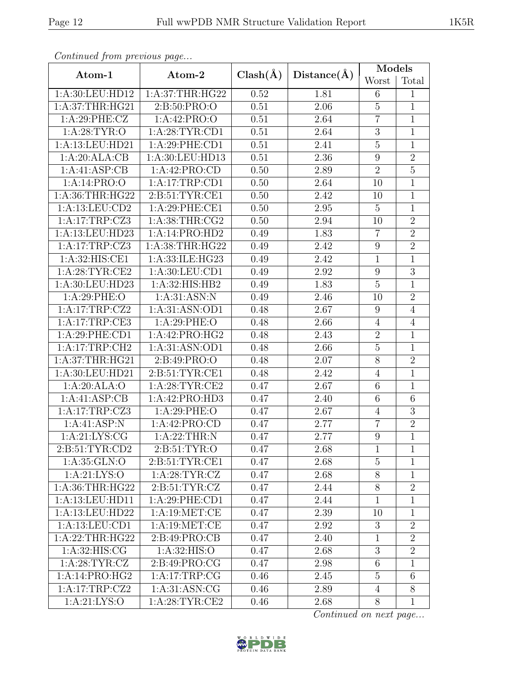| Continuea from previous page |                                |              |             | Models           |                 |
|------------------------------|--------------------------------|--------------|-------------|------------------|-----------------|
| Atom-1                       | Atom-2                         | $Clash(\AA)$ | Distance(A) | Worst            | Total           |
| 1:A:30:LEU:HD12              | 1: A:37:THR:HG22               | 0.52         | 1.81        | 6                | 1               |
| 1:A:37:THR:HG21              | 2:B:50:PRO:O                   | 0.51         | 2.06        | $\mathbf 5$      | $\mathbf{1}$    |
| 1:A:29:PHE:CZ                | 1:A:42:PRO:O                   | 0.51         | 2.64        | $\overline{7}$   | $\mathbf{1}$    |
| 1: A:28:TYR:O                | 1: A:28:TYR:CD1                | 0.51         | 2.64        | $\overline{3}$   | $\overline{1}$  |
| 1:A:13:LEU:HD21              | 1:A:29:PHE:CD1                 | 0.51         | 2.41        | $\bf 5$          | $\mathbf{1}$    |
| 1:A:20:ALA:CB                | 1:A:30:LEU:HD13                | 0.51         | 2.36        | $\overline{9}$   | $\overline{2}$  |
| 1:A:41:ASP:CB                | 1:A:42:PRO:CD                  | 0.50         | 2.89        | $\overline{2}$   | $\overline{5}$  |
| 1:A:14:PRO:O                 | 1:A:17:TRP:CD1                 | 0.50         | 2.64        | 10               | $\overline{1}$  |
| 1: A:36:THR:HG22             | 2:B:51:TYR:CE1                 | 0.50         | 2.42        | 10               | $\mathbf 1$     |
| 1:A:13:LEU:CD2               | 1:A:29:PHE:CE1                 | 0.50         | 2.95        | $\overline{5}$   | $\mathbf 1$     |
| 1:A:17:TRP:CZ3               | 1: A:38:THR:CG2                | 0.50         | 2.94        | 10               | $\overline{2}$  |
| 1:A:13:LEU:HD23              | 1:A:14:PRO:HD2                 | 0.49         | 1.83        | $\overline{7}$   | $\overline{2}$  |
| 1:A:17:TRP:CZ3               | 1: A:38:THR:HG22               | 0.49         | 2.42        | $\boldsymbol{9}$ | $\overline{2}$  |
| 1:A:32:HIS:CE1               | 1:A:33:ILE:HG23                | 0.49         | 2.42        | $\mathbf{1}$     | $\mathbf{1}$    |
| 1: A:28:TYR:CE2              | 1: A:30: LEU:CD1               | 0.49         | 2.92        | $\boldsymbol{9}$ | $\mathfrak{Z}$  |
| 1:A:30:LEU:HD23              | 1:A:32:HIS:HB2                 | 0.49         | 1.83        | $\overline{5}$   | $\mathbf{1}$    |
| 1: A:29:PHE:O                | 1: A:31: ASN: N                | 0.49         | 2.46        | 10               | $\overline{2}$  |
| 1:A:17:TRP:CZ2               | 1:A:31:ASN:OD1                 | 0.48         | 2.67        | 9                | $\overline{4}$  |
| 1:A:17:TRP:CE3               | 1: A:29:PHE:O                  | 0.48         | 2.66        | $\overline{4}$   | $\overline{4}$  |
| 1:A:29:PHE:CD1               | 1:A:42:PRO:HG2                 | 0.48         | 2.43        | $\boldsymbol{2}$ | $\mathbf{1}$    |
| 1:A:17:TRP:CH2               | 1: A:31: ASN:OD1               | 0.48         | 2.66        | $\overline{5}$   | $\mathbf{1}$    |
| 1: A:37:THR:HG21             | 2:B:49:PRO:O                   | 0.48         | 2.07        | $8\,$            | $\overline{2}$  |
| 1: A:30: LEU: HD21           | $2: B:51: TYR: \overline{C}E1$ | 0.48         | 2.42        | $\overline{4}$   | $\overline{1}$  |
| 1:A:20:ALA:O                 | 1: A:28:TYR:CE2                | 0.47         | 2.67        | $\sqrt{6}$       | $\mathbf{1}$    |
| 1:A:41:ASP:CB                | 1:A:42:PRO:HD3                 | 0.47         | 2.40        | $\,6$            | 6               |
| 1:A:17:TRP:CZ3               | 1: A:29:PHE:O                  | 0.47         | 2.67        | $\overline{4}$   | $\overline{3}$  |
| 1:A:41:ASP:N                 | 1:A:42:PRO:CD                  | 0.47         | 2.77        | $\overline{7}$   | $\overline{2}$  |
| 1: A:21: LYS: CG             | 1:A:22:THR:N                   | 0.47         | 2.77        | $\overline{9}$   | $\mathbf{1}$    |
| 2: B:51: TYR: CD2            | 2: B:51: TYR:O                 | 0.47         | 2.68        | 1                | $\mathbf{1}$    |
| 1: A:35: GLN:O               | 2:B:51:TYR:CE1                 | 0.47         | 2.68        | $\overline{5}$   | 1               |
| 1: A:21: LYS:O               | 1: A:28:TYR:CZ                 | 0.47         | 2.68        | 8                | $\mathbf{1}$    |
| 1: A:36:THR:HG22             | 2: B:51: TYR: CZ               | 0.47         | 2.44        | $8\,$            | $\overline{2}$  |
| 1:A:13:LEU:HD11              | 1:A:29:PHE:CD1                 | 0.47         | 2.44        | $\mathbf{1}$     | 1               |
| 1:A:13:LEU:HD22              | 1:A:19:MET:CE                  | 0.47         | 2.39        | 10               | $\mathbf{1}$    |
| 1:A:13:LEU:CD1               | 1: A: 19: MET:CE               | 0.47         | 2.92        | 3                | $\overline{2}$  |
| 1:A:22:THR:HG22              | 2: B:49: PRO:CB                | 0.47         | 2.40        | $\mathbf{1}$     | $\overline{2}$  |
| 1: A:32: HIS: CG             | 1: A:32: HIS:O                 | 0.47         | 2.68        | $\mathbf{3}$     | $\overline{2}$  |
| 1:A:28:TYR:CZ                | 2:B:49:PRO:CG                  | 0.47         | 2.98        | $6\,$            | $\mathbf{1}$    |
| 1:A:14:PRO:HG2               | 1:A:17:TRP:CG                  | 0.46         | 2.45        | $\overline{5}$   | $6\phantom{.}6$ |
| 1:A:17:TRP:CZ2               | 1: A:31: ASN: CG               | 0.46         | 2.89        | $\overline{4}$   | $\overline{8}$  |
| 1: A:21: LYS:O               | 1: A:28:TYR:CE2                | 0.46         | 2.68        | $8\,$            | $\mathbf{1}$    |

Continued from previous page.

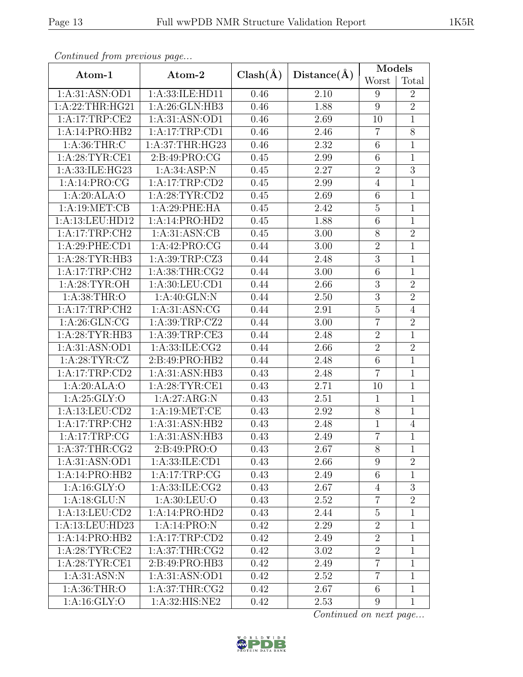| Continuea from previous page |                    |              |                   | Models           |                |
|------------------------------|--------------------|--------------|-------------------|------------------|----------------|
| Atom-1                       | Atom-2             | $Clash(\AA)$ | Distance(A)       | Worst            | Total          |
| 1:A:31:ASN:OD1               | 1:A:33:ILE:HD11    | 0.46         | 2.10              | 9                | $\overline{2}$ |
| 1:A:22:THR:HG21              | 1: A:26: GLN:HB3   | 0.46         | 1.88              | $\boldsymbol{9}$ | $\overline{2}$ |
| 1:A:17:TRP:CE2               | 1:A:31:ASN:OD1     | 0.46         | 2.69              | 10               | $\mathbf 1$    |
| 1:A:14:PRO:HB2               | 1:A:17:TRP:CD1     | 0.46         | 2.46              | $\overline{7}$   | $\overline{8}$ |
| 1: A:36:THR: C               | 1: A:37:THR:HG23   | 0.46         | 2.32              | $\,6$            | $\mathbf{1}$   |
| 1: A:28:TYR:CE1              | 2:B:49:PRO:CG      | 0.45         | 2.99              | 6                | $\overline{1}$ |
| 1: A: 33: ILE: HG23          | 1: A:34: ASP: N    | 0.45         | 2.27              | $\overline{2}$   | $\overline{3}$ |
| 1:A:14:PRO:CG                | 1:A:17:TRP:CD2     | 0.45         | 2.99              | $\overline{4}$   | $\overline{1}$ |
| 1:A:20:ALA:O                 | 1: A:28:TYR:CD2    | 0.45         | 2.69              | $\,6$            | $\overline{1}$ |
| 1:A:19:MET:CB                | 1:A:29:PHE:HA      | 0.45         | 2.42              | $\mathbf 5$      | $\mathbf{1}$   |
| 1:A:13:LEU:HD12              | 1:A:14:PRO:HD2     | 0.45         | 1.88              | $\overline{6}$   | $\mathbf{1}$   |
| 1:A:17:TRP:CH2               | 1: A:31: ASN: CB   | 0.45         | 3.00              | 8                | $\overline{2}$ |
| 1:A:29:PHE:CD1               | 1:A:42:PRO:CG      | 0.44         | 3.00              | $\sqrt{2}$       | $\mathbf 1$    |
| 1: A:28:TYR:HB3              | 1:A:39:TRP:CZ3     | 0.44         | 2.48              | $\overline{3}$   | $\mathbf{1}$   |
| 1:A:17:TRP:CH2               | 1: A:38:THR:CG2    | 0.44         | 3.00              | $\,6\,$          | $\mathbf{1}$   |
| 1: A:28:TYR:OH               | 1: A:30: LEU:CD1   | 0.44         | 2.66              | $\overline{3}$   | $\overline{2}$ |
| 1:A:38:THR:O                 | 1:A:40:GLN:N       | 0.44         | $\overline{2}.50$ | $\mathfrak{Z}$   | $\overline{2}$ |
| 1:A:17:TRP:CH2               | 1: A:31: ASN: CG   | 0.44         | 2.91              | $\overline{5}$   | $\overline{4}$ |
| 1: A:26: GLN:CG              | 1:A:39:TRP:CZ2     | 0.44         | 3.00              | $\overline{7}$   | $\overline{2}$ |
| 1:A:28:TYR:HB3               | 1:A:39:TRP:CE3     | 0.44         | 2.48              | $\sqrt{2}$       | $\overline{1}$ |
| 1:A:31:ASN:OD1               | 1:A:33:ILE:CG2     | 0.44         | 2.66              | $\overline{2}$   | $\overline{2}$ |
| 1: A:28:TYR:CZ               | 2:B:49:PRO:HB2     | 0.44         | 2.48              | $\overline{6}$   | $\mathbf{1}$   |
| 1:A:17:TRP:CD2               | 1:A:31:ASN:HB3     | 0.43         | 2.48              | $\overline{7}$   | $\overline{1}$ |
| 1:A:20:ALA:O                 | 1: A:28:TYR:CE1    | 0.43         | 2.71              | 10               | $\overline{1}$ |
| 1:A:25:GLY:O                 | 1:A:27:ARG:N       | 0.43         | 2.51              | $\mathbf{1}$     | $\overline{1}$ |
| 1:A:13:LEU:CD2               | 1:A:19:MET:CE      | 0.43         | 2.92              | $8\,$            | $\overline{1}$ |
| 1:A:17:TRP:CH2               | 1:A:31:ASN:HB2     | 0.43         | 2.48              | $\mathbf{1}$     | $\overline{4}$ |
| 1:A:17:TRP:CG                | 1:A:31:ASN:HB3     | 0.43         | 2.49              | $\overline{7}$   | $\overline{1}$ |
| 1:A:37:THR:CG2               | 2: B:49: PRO:O     | 0.43         | 2.67              | 8                | 1              |
| 1:A:31:ASN:OD1               | 1: A: 33: ILE: CD1 | 0.43         | 2.66              | $9\phantom{.0}$  | $\overline{2}$ |
| 1:A:14:PRO:HB2               | 1:A:17:TRP:CG      | 0.43         | 2.49              | 6                | 1              |
| 1: A:16: GLY:O               | 1: A:33: ILE: CG2  | 0.43         | 2.67              | $\overline{4}$   | $\mathfrak{Z}$ |
| 1:A:18:GLU:N                 | 1: A:30: LEU:O     | 0.43         | 2.52              | 7                | $\overline{2}$ |
| 1:A:13:LEU:CD2               | 1:A:14:PRO:HD2     | 0.43         | 2.44              | $\mathbf 5$      | $\mathbf{1}$   |
| 1:A:13:LEU:HD23              | 1:A:14:PRO:N       | 0.42         | 2.29              | $\overline{2}$   | $\mathbf{1}$   |
| 1:A:14:PRO:HB2               | 1:A:17:TRP:CD2     | 0.42         | 2.49              | $\sqrt{2}$       | $\mathbf{1}$   |
| 1: A:28:TYR:CE2              | 1: A:37:THR:CG2    | 0.42         | 3.02              | $\sqrt{2}$       | $\mathbf{1}$   |
| 1:A:28:TYR:CE1               | 2:B:49:PRO:HB3     | 0.42         | 2.49              | $\overline{7}$   | $\mathbf{1}$   |
| 1: A:31: ASN: N              | 1:A:31:ASN:OD1     | 0.42         | 2.52              | $\overline{7}$   | $\mathbf{1}$   |
| 1: A:36:THR:O                | 1: A:37:THR:CG2    | 0.42         | 2.67              | $\,6$            | $\overline{1}$ |
| 1:A:16:GLY:O                 | 1:A:32:HIS:NE2     | 0.42         | 2.53              | $\overline{9}$   | $\mathbf{1}$   |

Continued from previous page.

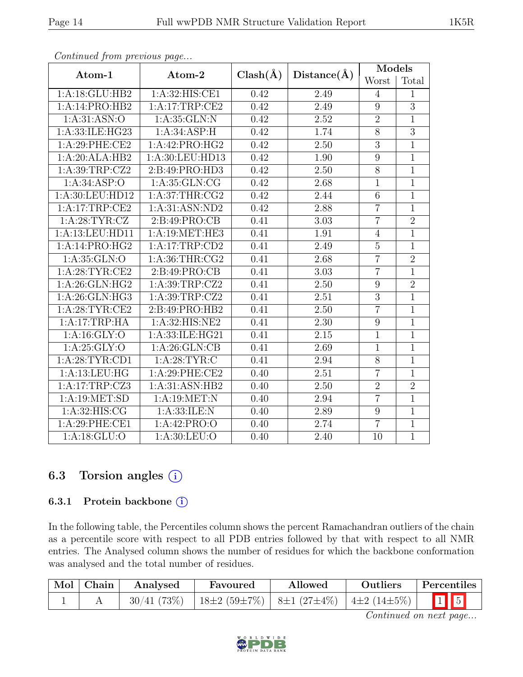| Atom-1           | Atom-2            | $Clash(\AA)$ | Distance(A) | Models           |                |
|------------------|-------------------|--------------|-------------|------------------|----------------|
|                  |                   |              |             | Worst            | Total          |
| 1:A:18:GLU:HB2   | 1:A:32:HIS:CE1    | 0.42         | 2.49        | $\overline{4}$   | 1              |
| 1:A:14:PRO:HB2   | 1:A:17:TRP:CE2    | 0.42         | 2.49        | $\boldsymbol{9}$ | $\overline{3}$ |
| 1: A:31: ASN:O   | 1: A:35: GLN:N    | 0.42         | 2.52        | $\overline{2}$   | $\mathbf{1}$   |
| 1:A:33:ILE:HG23  | 1:A:34:ASP:H      | 0.42         | 1.74        | $\overline{8}$   | $\overline{3}$ |
| 1:A:29:PHE:CE2   | 1:A:42:PRO:HG2    | 0.42         | 2.50        | $\overline{3}$   | $\mathbf{1}$   |
| 1:A:20:ALA:HB2   | 1:A:30:LEU:HD13   | 0.42         | 1.90        | $\overline{9}$   | $\overline{1}$ |
| 1:A:39:TRP:CZ2   | 2:B:49:PRO:HD3    | 0.42         | 2.50        | $8\,$            | $\overline{1}$ |
| 1: A:34:ASP:O    | 1: A: 35: GLN: CG | 0.42         | 2.68        | $\mathbf{1}$     | $\mathbf{1}$   |
| 1:A:30:LEU:HD12  | 1: A:37:THR:CG2   | 0.42         | 2.44        | $\overline{6}$   | $\overline{1}$ |
| 1:A:17:TRP:CE2   | 1: A:31: ASN:ND2  | 0.42         | 2.88        | $\overline{7}$   | $\mathbf{1}$   |
| 1:A:28:TYR:CZ    | 2: B: 49: PRO: CB | 0.41         | 3.03        | $\overline{7}$   | $\overline{2}$ |
| 1:A:13:LEU:HD11  | 1:A:19:MET:HE3    | 0.41         | 1.91        | $\overline{4}$   | $\mathbf{1}$   |
| 1:A:14:PRO:HG2   | 1:A:17:TRP:CD2    | 0.41         | 2.49        | $\mathbf 5$      | $\mathbf{1}$   |
| 1: A:35: GLN:O   | 1: A:36:THR:CG2   | 0.41         | 2.68        | $\overline{7}$   | $\overline{2}$ |
| 1: A:28:TYR:CE2  | 2:B:49:PRO:CB     | 0.41         | 3.03        | $\overline{7}$   | $\overline{1}$ |
| 1:A:26:GLN:HG2   | 1:A:39:TRP:CZ2    | 0.41         | $2.50\,$    | $\boldsymbol{9}$ | $\overline{2}$ |
| 1:A:26:GLN:HG3   | 1:A:39:TRP:CZ2    | 0.41         | 2.51        | $\mathfrak{Z}$   | $\mathbf{1}$   |
| 1: A:28:TYR:CE2  | 2:B:49:PRO:HB2    | 0.41         | 2.50        | $\overline{7}$   | $\mathbf{1}$   |
| 1:A:17:TRP:HA    | 1:A:32:HIS:NE2    | 0.41         | 2.30        | 9                | $\overline{1}$ |
| 1: A: 16: GLY: O | 1:A:33:ILE:HG21   | 0.41         | 2.15        | $\mathbf{1}$     | $\mathbf{1}$   |
| 1: A:25: GLY:O   | 1:A:26:GLN:CB     | 0.41         | 2.69        | $\overline{1}$   | $\overline{1}$ |
| 1: A:28:TYR:CD1  | 1: A:28:TYR:C     | 0.41         | 2.94        | $8\,$            | $\mathbf{1}$   |
| 1:A:13:LEU:HG    | 1:A:29:PHE:CE2    | 0.40         | 2.51        | $\overline{7}$   | $\overline{1}$ |
| 1:A:17:TRP:CZ3   | 1:A:31:ASN:HB2    | 0.40         | 2.50        | $\sqrt{2}$       | $\overline{2}$ |
| 1:A:19:MET:SD    | 1: A:19:MET:N     | 0.40         | 2.94        | $\overline{7}$   | $\overline{1}$ |
| 1: A:32: HIS: CG | 1: A:33: ILE:N    | 0.40         | 2.89        | $\overline{9}$   | $\overline{1}$ |
| 1: A:29: PHE:CE1 | 1:A:42:PRO:O      | 0.40         | 2.74        | $\overline{7}$   | $\mathbf{1}$   |
| 1: A:18: GLU:O   | 1: A:30: LEU:O    | 0.40         | 2.40        | 10               | $\overline{1}$ |

Continued from previous page...

## 6.3 Torsion angles (i)

### 6.3.1 Protein backbone ①

In the following table, the Percentiles column shows the percent Ramachandran outliers of the chain as a percentile score with respect to all PDB entries followed by that with respect to all NMR entries. The Analysed column shows the number of residues for which the backbone conformation was analysed and the total number of residues.

| $\mid$ Mol $\mid$ Chain | Analysed | Favoured                                                     | Allowed | <b>Outliers</b> | Percentiles             |
|-------------------------|----------|--------------------------------------------------------------|---------|-----------------|-------------------------|
|                         |          | $30/41$ (73\%)   18±2 (59±7\%)   8±1 (27±4\%)   4±2 (14±5\%) |         |                 | $\boxed{1}$ $\boxed{5}$ |

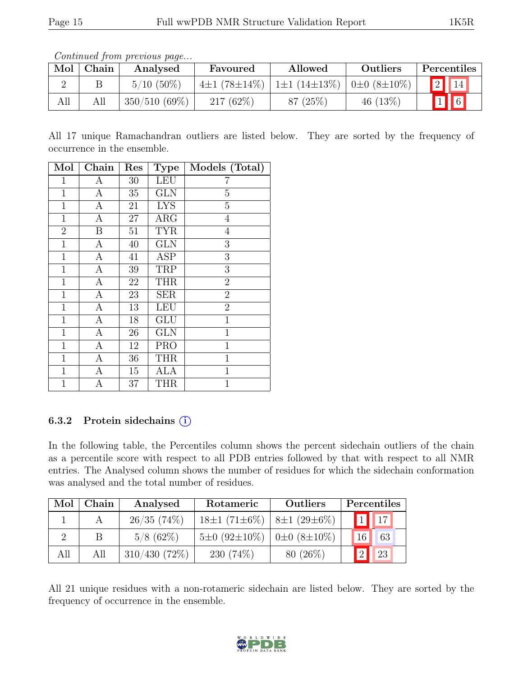|     |       | Contentaca pont providuo pugo |             |                                                                              |            |                          |
|-----|-------|-------------------------------|-------------|------------------------------------------------------------------------------|------------|--------------------------|
| Mol | Chain | Analysed                      | Favoured    | Allowed                                                                      | Outliers   | Percentiles              |
|     |       | $5/10(50\%)$                  |             | $4\pm1$ (78 $\pm14\%$ )   1 $\pm1$ (14 $\pm13\%$ )   0 $\pm0$ (8 $\pm10\%$ ) |            | $\boxed{2}$ $\boxed{14}$ |
| All | All   | $350/510(69\%)$               | $217(62\%)$ | 87(25%)                                                                      | 46 $(13%)$ | $\sqrt{1}$ 6             |

Continued from previous page...

All 17 unique Ramachandran outliers are listed below. They are sorted by the frequency of occurrence in the ensemble.

| Mol            | Chain            | $\operatorname{Res}% \left( \mathcal{N}\right) \equiv\operatorname{Res}(\mathcal{N}_{0})\cap\mathcal{N}_{1}$ | <b>Type</b>             | Models (Total) |
|----------------|------------------|--------------------------------------------------------------------------------------------------------------|-------------------------|----------------|
| 1              | Α                | 30                                                                                                           | <b>LEU</b>              | 7              |
| $\mathbf{1}$   | $\overline{A}$   | $35\,$                                                                                                       | $\overline{\text{GLN}}$ | $\overline{5}$ |
| $\mathbf{1}$   | $\mathbf{A}$     | 21                                                                                                           | <b>LYS</b>              | $\overline{5}$ |
| $\mathbf 1$    | $\boldsymbol{A}$ | 27                                                                                                           | $\overline{ARG}$        | 4              |
| $\overline{2}$ | B                | $51\,$                                                                                                       | <b>TYR</b>              | 4              |
| $\mathbf{1}$   | А                | 40                                                                                                           | <b>GLN</b>              | 3              |
| $\mathbf{1}$   | $\mathbf{A}$     | 41                                                                                                           | $\overline{\text{ASP}}$ | 3              |
| $\mathbf{1}$   | A                | 39                                                                                                           | TRP                     | 3              |
| $\mathbf 1$    | $\boldsymbol{A}$ | 22                                                                                                           | <b>THR</b>              | $\overline{2}$ |
| $\mathbf 1$    | $\boldsymbol{A}$ | 23                                                                                                           | <b>SER</b>              | $\overline{2}$ |
| $\mathbf 1$    | $\boldsymbol{A}$ | 13                                                                                                           | <b>LEU</b>              | $\overline{2}$ |
| $\mathbf 1$    | $\boldsymbol{A}$ | 18                                                                                                           | <b>GLU</b>              | $\mathbf{1}$   |
| $\mathbf 1$    | $\boldsymbol{A}$ | 26                                                                                                           | <b>GLN</b>              | $\mathbf{1}$   |
| $\mathbf{1}$   | $\boldsymbol{A}$ | 12                                                                                                           | <b>PRO</b>              | $\mathbf{1}$   |
| 1              | $\boldsymbol{A}$ | 36                                                                                                           | <b>THR</b>              | $\mathbf 1$    |
| $\mathbf 1$    | $\mathbf{A}$     | 15                                                                                                           | <b>ALA</b>              | $\mathbf{1}$   |
| $\mathbf{1}$   | А                | 37                                                                                                           | THR                     | $\mathbf{1}$   |

## 6.3.2 Protein sidechains  $(i)$

In the following table, the Percentiles column shows the percent sidechain outliers of the chain as a percentile score with respect to all PDB entries followed by that with respect to all NMR entries. The Analysed column shows the number of residues for which the sidechain conformation was analysed and the total number of residues.

| Mol | Chain | Analysed        | Rotameric                                         | <b>Outliers</b> | Percentiles                  |
|-----|-------|-----------------|---------------------------------------------------|-----------------|------------------------------|
|     |       | 26/35(74%)      | $18\pm1(71\pm6\%)$   $8\pm1(29\pm6\%)$            |                 | $\mathbf{1}$ $\overline{17}$ |
|     | B     | $5/8$ (62\%)    | $5\pm0$ (92 $\pm10\%$ )   0 $\pm0$ (8 $\pm10\%$ ) |                 | 63<br>16                     |
| All | All   | $310/430(72\%)$ | $230(74\%)$                                       | $80(26\%)$      | 23                           |

All 21 unique residues with a non-rotameric sidechain are listed below. They are sorted by the frequency of occurrence in the ensemble.

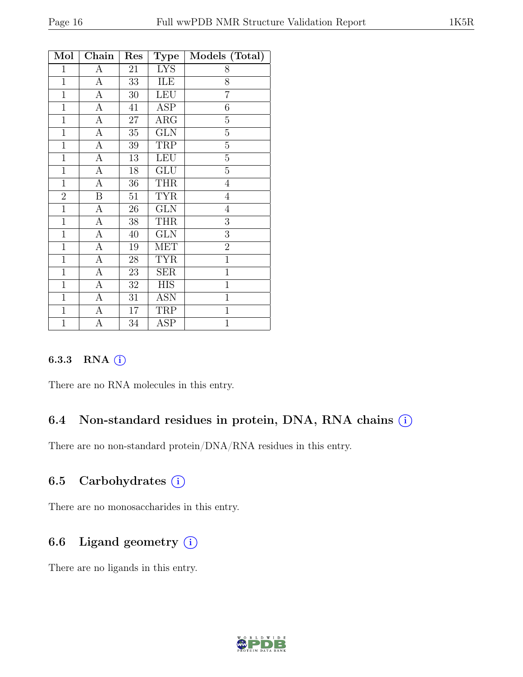| Mol            | ${\rm Chain}$    | Res    | <b>Type</b>             | Models (Total) |
|----------------|------------------|--------|-------------------------|----------------|
| $\mathbf 1$    | А                | 21     | LYS                     | 8              |
| $\mathbf{1}$   | $\overline{A}$   | 33     | ILE                     | 8              |
| $\mathbf{1}$   | $\boldsymbol{A}$ | $30\,$ | <b>LEU</b>              | $\overline{7}$ |
| $\overline{1}$ | А                | 41     | ASP                     | 6              |
| $\mathbf{1}$   | A                | 27     | ARG                     | $\overline{5}$ |
| $\mathbf{1}$   | $\mathbf{A}$     | 35     | $\overline{\text{GLN}}$ | $\overline{5}$ |
| $\mathbf{1}$   | A                | $39\,$ | TRP                     | $\overline{5}$ |
| $\mathbf{1}$   | А                | 13     | <b>LEU</b>              | $\overline{5}$ |
| $\mathbf{1}$   | $\overline{A}$   | 18     | GLU                     | 5              |
| $\mathbf{1}$   | A                | 36     | <b>THR</b>              | $\overline{4}$ |
| $\overline{2}$ | B                | 51     | <b>TYR</b>              | $\overline{4}$ |
| $\mathbf{1}$   | A                | 26     | <b>GLN</b>              | $\overline{4}$ |
| $\mathbf{1}$   | $\mathbf{A}$     | $38\,$ | <b>THR</b>              | 3              |
| $\overline{1}$ | $\overline{A}$   | 40     | <b>GLN</b>              | $\overline{3}$ |
| $\mathbf{1}$   | А                | 19     | <b>MET</b>              | $\overline{2}$ |
| $\mathbf{1}$   | А                | 28     | <b>TYR</b>              | $\mathbf{1}$   |
| $\mathbf{1}$   | А                | 23     | <b>SER</b>              | $\mathbf{1}$   |
| $\mathbf{1}$   | А                | $32\,$ | <b>HIS</b>              | $\mathbf 1$    |
| $\mathbf{1}$   | $\overline{A}$   | 31     | ASN                     | $\mathbf{1}$   |
| $\mathbf{1}$   | $\boldsymbol{A}$ | 17     | TRP                     | $\mathbf{1}$   |
| $\mathbf{1}$   | А                | 34     | ASP                     | $\mathbf{1}$   |

### 6.3.3 RNA (i)

There are no RNA molecules in this entry.

## 6.4 Non-standard residues in protein, DNA, RNA chains (i)

There are no non-standard protein/DNA/RNA residues in this entry.

## 6.5 Carbohydrates (i)

There are no monosaccharides in this entry.

# 6.6 Ligand geometry  $(i)$

There are no ligands in this entry.

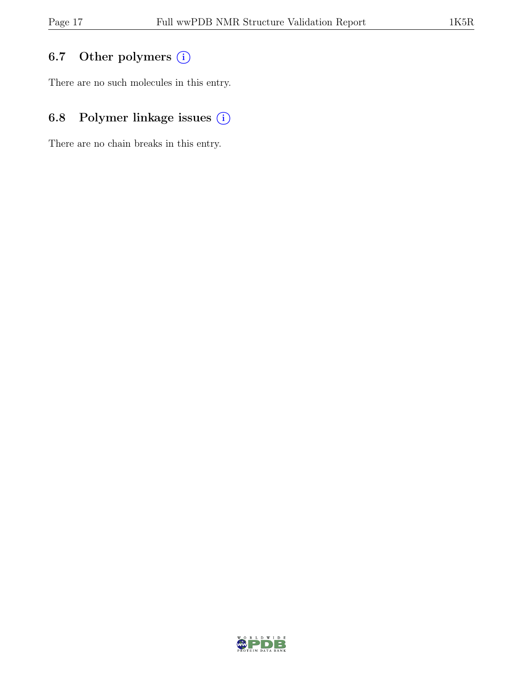# 6.7 Other polymers (i)

There are no such molecules in this entry.

# 6.8 Polymer linkage issues (i)

There are no chain breaks in this entry.